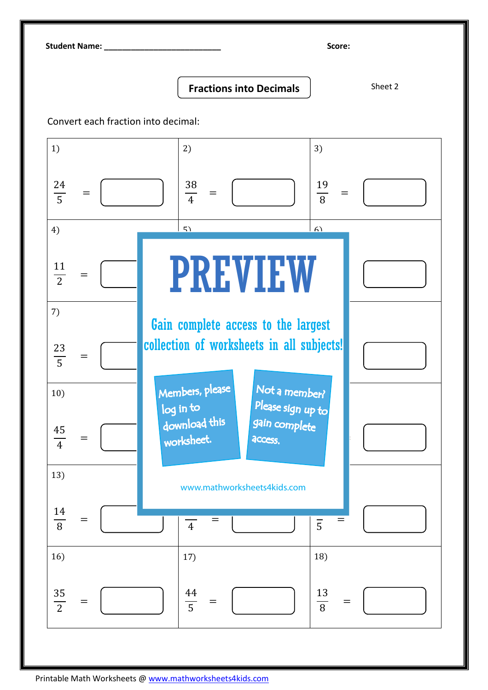Student Name: \_\_\_\_\_\_\_\_\_\_\_\_\_\_\_\_\_\_\_\_\_\_\_\_\_\_ Score:

Fractions into Decimals | Sheet 2

Convert each fraction into decimal: